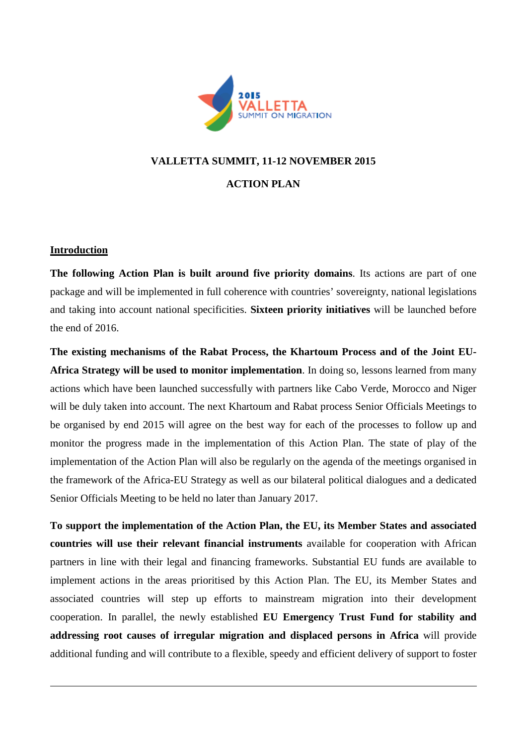

# **VALLETTA SUMMIT, 11-12 NOVEMBER 2015 ACTION PLAN**

#### **Introduction**

**The following Action Plan is built around five priority domains**. Its actions are part of one package and will be implemented in full coherence with countries' sovereignty, national legislations and taking into account national specificities. **Sixteen priority initiatives** will be launched before the end of 2016.

**The existing mechanisms of the Rabat Process, the Khartoum Process and of the Joint EU-Africa Strategy will be used to monitor implementation**. In doing so, lessons learned from many actions which have been launched successfully with partners like Cabo Verde, Morocco and Niger will be duly taken into account. The next Khartoum and Rabat process Senior Officials Meetings to be organised by end 2015 will agree on the best way for each of the processes to follow up and monitor the progress made in the implementation of this Action Plan. The state of play of the implementation of the Action Plan will also be regularly on the agenda of the meetings organised in the framework of the Africa-EU Strategy as well as our bilateral political dialogues and a dedicated Senior Officials Meeting to be held no later than January 2017.

**To support the implementation of the Action Plan, the EU, its Member States and associated countries will use their relevant financial instruments** available for cooperation with African partners in line with their legal and financing frameworks. Substantial EU funds are available to implement actions in the areas prioritised by this Action Plan. The EU, its Member States and associated countries will step up efforts to mainstream migration into their development cooperation. In parallel, the newly established **EU Emergency Trust Fund for stability and addressing root causes of irregular migration and displaced persons in Africa** will provide additional funding and will contribute to a flexible, speedy and efficient delivery of support to foster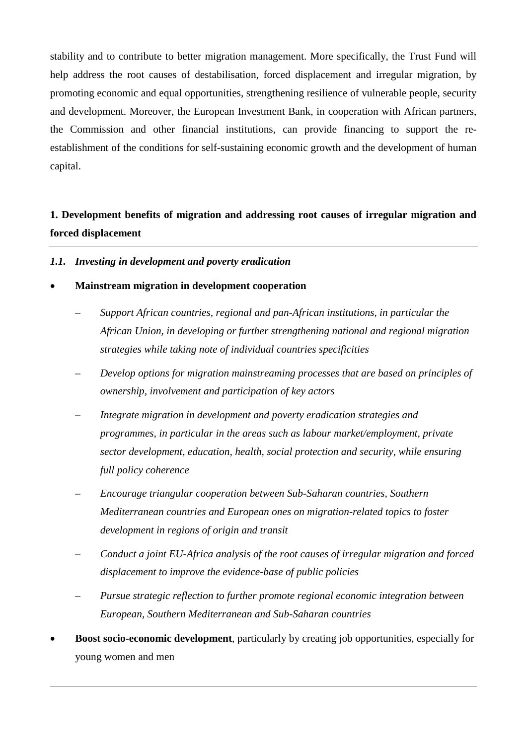stability and to contribute to better migration management. More specifically, the Trust Fund will help address the root causes of destabilisation, forced displacement and irregular migration, by promoting economic and equal opportunities, strengthening resilience of vulnerable people, security and development. Moreover, the European Investment Bank, in cooperation with African partners, the Commission and other financial institutions, can provide financing to support the reestablishment of the conditions for self-sustaining economic growth and the development of human capital.

## **1. Development benefits of migration and addressing root causes of irregular migration and forced displacement**

#### *1.1. Investing in development and poverty eradication*

#### • **Mainstream migration in development cooperation**

- *Support African countries, regional and pan-African institutions, in particular the African Union, in developing or further strengthening national and regional migration strategies while taking note of individual countries specificities*
- *Develop options for migration mainstreaming processes that are based on principles of ownership, involvement and participation of key actors*
- *Integrate migration in development and poverty eradication strategies and programmes, in particular in the areas such as labour market/employment, private sector development, education, health, social protection and security, while ensuring full policy coherence*
- *Encourage triangular cooperation between Sub-Saharan countries, Southern Mediterranean countries and European ones on migration-related topics to foster development in regions of origin and transit*
- *Conduct a joint EU-Africa analysis of the root causes of irregular migration and forced displacement to improve the evidence-base of public policies*
- *Pursue strategic reflection to further promote regional economic integration between European, Southern Mediterranean and Sub-Saharan countries*
- **Boost socio-economic development**, particularly by creating job opportunities, especially for young women and men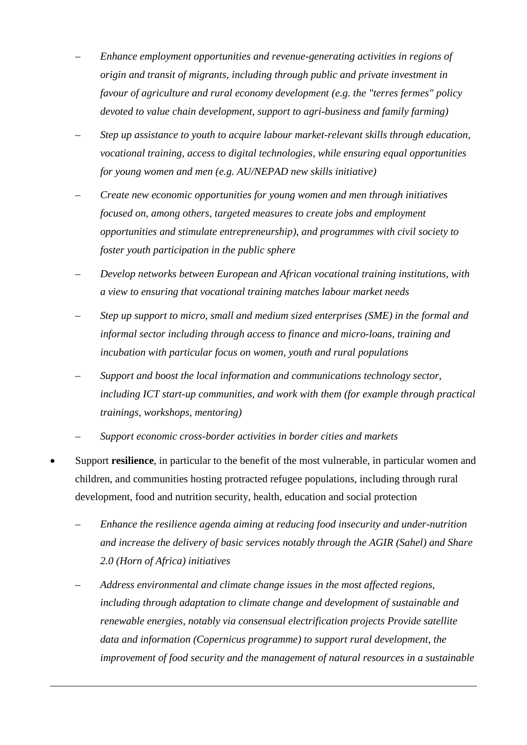- *Enhance employment opportunities and revenue-generating activities in regions of origin and transit of migrants, including through public and private investment in favour of agriculture and rural economy development (e.g. the "terres fermes" policy devoted to value chain development, support to agri-business and family farming)*
- *Step up assistance to youth to acquire labour market-relevant skills through education, vocational training, access to digital technologies, while ensuring equal opportunities for young women and men (e.g. AU/NEPAD new skills initiative)*
- *Create new economic opportunities for young women and men through initiatives focused on, among others, targeted measures to create jobs and employment opportunities and stimulate entrepreneurship), and programmes with civil society to foster youth participation in the public sphere*
- *Develop networks between European and African vocational training institutions, with a view to ensuring that vocational training matches labour market needs*
- *Step up support to micro, small and medium sized enterprises (SME) in the formal and informal sector including through access to finance and micro-loans, training and incubation with particular focus on women, youth and rural populations*
- *Support and boost the local information and communications technology sector, including ICT start-up communities, and work with them (for example through practical trainings, workshops, mentoring)*
- *Support economic cross-border activities in border cities and markets*
- Support **resilience**, in particular to the benefit of the most vulnerable, in particular women and children, and communities hosting protracted refugee populations, including through rural development, food and nutrition security, health, education and social protection
	- *Enhance the resilience agenda aiming at reducing food insecurity and under-nutrition and increase the delivery of basic services notably through the AGIR (Sahel) and Share 2.0 (Horn of Africa) initiatives*
	- *Address environmental and climate change issues in the most affected regions, including through adaptation to climate change and development of sustainable and renewable energies, notably via consensual electrification projects Provide satellite data and information (Copernicus programme) to support rural development, the improvement of food security and the management of natural resources in a sustainable*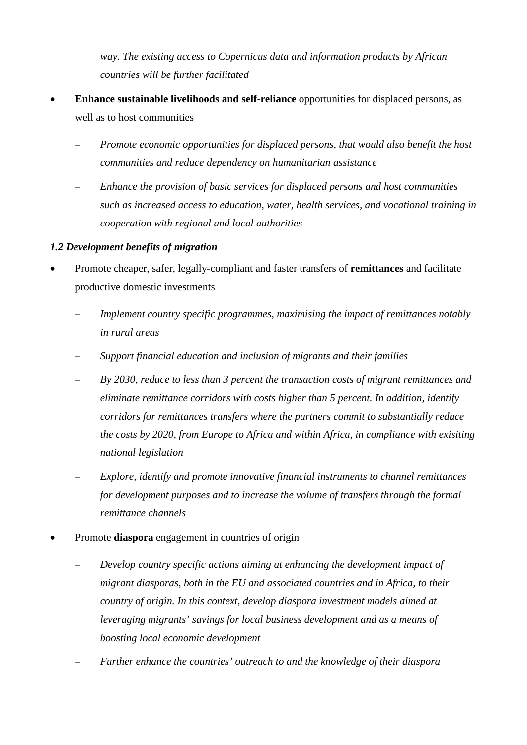*way. The existing access to Copernicus data and information products by African countries will be further facilitated*

- **Enhance sustainable livelihoods and self-reliance** opportunities for displaced persons, as well as to host communities
	- *Promote economic opportunities for displaced persons, that would also benefit the host communities and reduce dependency on humanitarian assistance*
	- *Enhance the provision of basic services for displaced persons and host communities such as increased access to education, water, health services, and vocational training in cooperation with regional and local authorities*

## *1.2 Development benefits of migration*

- Promote cheaper, safer, legally-compliant and faster transfers of **remittances** and facilitate productive domestic investments
	- *Implement country specific programmes, maximising the impact of remittances notably in rural areas*
	- *Support financial education and inclusion of migrants and their families*
	- *By 2030, reduce to less than 3 percent the transaction costs of migrant remittances and eliminate remittance corridors with costs higher than 5 percent. In addition, identify corridors for remittances transfers where the partners commit to substantially reduce the costs by 2020, from Europe to Africa and within Africa, in compliance with exisiting national legislation*
	- *Explore, identify and promote innovative financial instruments to channel remittances for development purposes and to increase the volume of transfers through the formal remittance channels*
- Promote **diaspora** engagement in countries of origin
	- *Develop country specific actions aiming at enhancing the development impact of migrant diasporas, both in the EU and associated countries and in Africa, to their country of origin. In this context, develop diaspora investment models aimed at leveraging migrants' savings for local business development and as a means of boosting local economic development*
	- *Further enhance the countries' outreach to and the knowledge of their diaspora*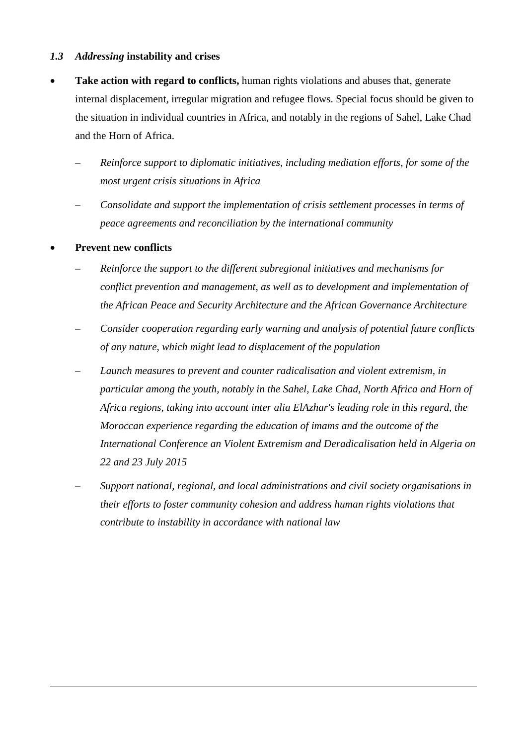## *1.3 Addressing* **instability and crises**

- **Take action with regard to conflicts,** human rights violations and abuses that, generate internal displacement, irregular migration and refugee flows. Special focus should be given to the situation in individual countries in Africa, and notably in the regions of Sahel, Lake Chad and the Horn of Africa.
	- *Reinforce support to diplomatic initiatives, including mediation efforts, for some of the most urgent crisis situations in Africa*
	- *Consolidate and support the implementation of crisis settlement processes in terms of peace agreements and reconciliation by the international community*

#### • **Prevent new conflicts**

- *Reinforce the support to the different subregional initiatives and mechanisms for conflict prevention and management, as well as to development and implementation of the African Peace and Security Architecture and the African Governance Architecture*
- *Consider cooperation regarding early warning and analysis of potential future conflicts of any nature, which might lead to displacement of the population*
- *Launch measures to prevent and counter radicalisation and violent extremism, in particular among the youth, notably in the Sahel, Lake Chad, North Africa and Horn of Africa regions, taking into account inter alia ElAzhar's leading role in this regard, the Moroccan experience regarding the education of imams and the outcome of the International Conference an Violent Extremism and Deradicalisation held in Algeria on 22 and 23 July 2015*
- *Support national, regional, and local administrations and civil society organisations in their efforts to foster community cohesion and address human rights violations that contribute to instability in accordance with national law*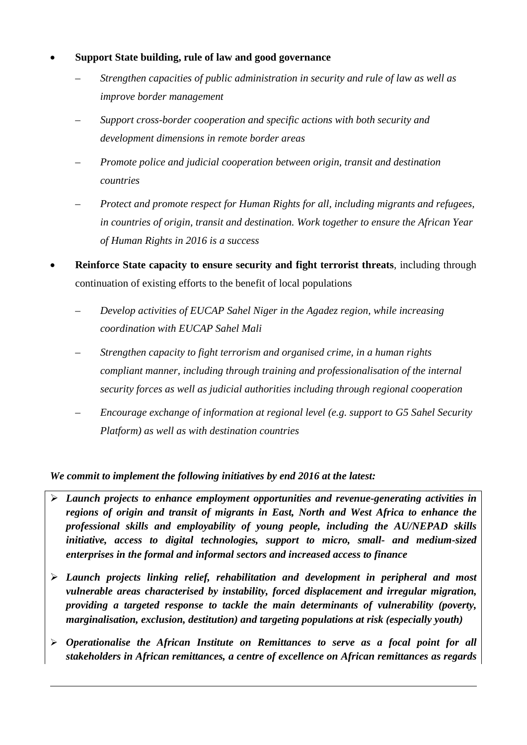- **Support State building, rule of law and good governance**
	- *Strengthen capacities of public administration in security and rule of law as well as improve border management*
	- *Support cross-border cooperation and specific actions with both security and development dimensions in remote border areas*
	- *Promote police and judicial cooperation between origin, transit and destination countries*
	- *Protect and promote respect for Human Rights for all, including migrants and refugees, in countries of origin, transit and destination. Work together to ensure the African Year of Human Rights in 2016 is a success*
- **Reinforce State capacity to ensure security and fight terrorist threats**, including through continuation of existing efforts to the benefit of local populations
	- *Develop activities of EUCAP Sahel Niger in the Agadez region, while increasing coordination with EUCAP Sahel Mali*
	- *Strengthen capacity to fight terrorism and organised crime, in a human rights compliant manner, including through training and professionalisation of the internal security forces as well as judicial authorities including through regional cooperation*
	- *Encourage exchange of information at regional level (e.g. support to G5 Sahel Security Platform) as well as with destination countries*

- *Launch projects to enhance employment opportunities and revenue-generating activities in regions of origin and transit of migrants in East, North and West Africa to enhance the professional skills and employability of young people, including the AU/NEPAD skills initiative, access to digital technologies, support to micro, small- and medium-sized enterprises in the formal and informal sectors and increased access to finance*
- *Launch projects linking relief, rehabilitation and development in peripheral and most vulnerable areas characterised by instability, forced displacement and irregular migration, providing a targeted response to tackle the main determinants of vulnerability (poverty, marginalisation, exclusion, destitution) and targeting populations at risk (especially youth)*
- *Operationalise the African Institute on Remittances to serve as a focal point for all stakeholders in African remittances, a centre of excellence on African remittances as regards*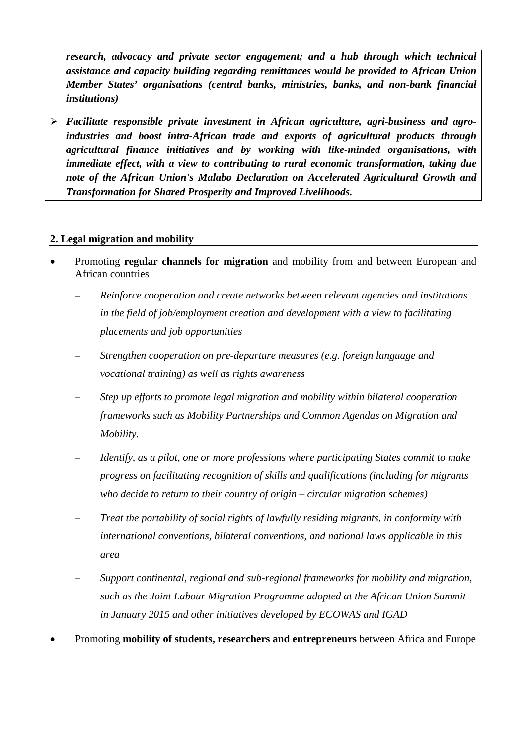*research, advocacy and private sector engagement; and a hub through which technical assistance and capacity building regarding remittances would be provided to African Union Member States' organisations (central banks, ministries, banks, and non-bank financial institutions)*

 *Facilitate responsible private investment in African agriculture, agri-business and agroindustries and boost intra-African trade and exports of agricultural products through agricultural finance initiatives and by working with like-minded organisations, with immediate effect, with a view to contributing to rural economic transformation, taking due note of the African Union's Malabo Declaration on Accelerated Agricultural Growth and Transformation for Shared Prosperity and Improved Livelihoods.*

## **2. Legal migration and mobility**

- Promoting **regular channels for migration** and mobility from and between European and African countries
	- *Reinforce cooperation and create networks between relevant agencies and institutions in the field of job/employment creation and development with a view to facilitating placements and job opportunities*
	- *Strengthen cooperation on pre-departure measures (e.g. foreign language and vocational training) as well as rights awareness*
	- *Step up efforts to promote legal migration and mobility within bilateral cooperation frameworks such as Mobility Partnerships and Common Agendas on Migration and Mobility.*
	- *Identify, as a pilot, one or more professions where participating States commit to make progress on facilitating recognition of skills and qualifications (including for migrants who decide to return to their country of origin – circular migration schemes)*
	- *Treat the portability of social rights of lawfully residing migrants, in conformity with international conventions, bilateral conventions, and national laws applicable in this area*
	- *Support continental, regional and sub-regional frameworks for mobility and migration, such as the Joint Labour Migration Programme adopted at the African Union Summit in January 2015 and other initiatives developed by ECOWAS and IGAD*
- Promoting **mobility of students, researchers and entrepreneurs** between Africa and Europe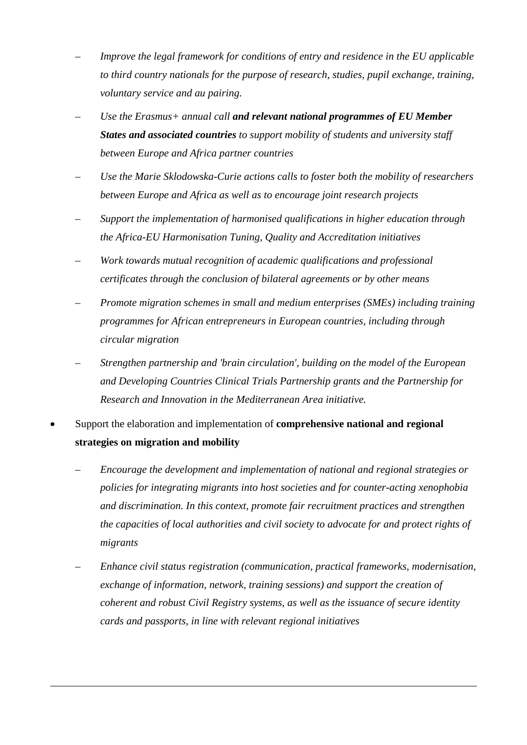- *Improve the legal framework for conditions of entry and residence in the EU applicable to third country nationals for the purpose of research, studies, pupil exchange, training, voluntary service and au pairing.*
- *Use the Erasmus+ annual call and relevant national programmes of EU Member States and associated countries to support mobility of students and university staff between Europe and Africa partner countries*
- *Use the Marie Sklodowska-Curie actions calls to foster both the mobility of researchers between Europe and Africa as well as to encourage joint research projects*
- *Support the implementation of harmonised qualifications in higher education through the Africa-EU Harmonisation Tuning, Quality and Accreditation initiatives*
- *Work towards mutual recognition of academic qualifications and professional certificates through the conclusion of bilateral agreements or by other means*
- *Promote migration schemes in small and medium enterprises (SMEs) including training programmes for African entrepreneurs in European countries, including through circular migration*
- *Strengthen partnership and 'brain circulation', building on the model of the European and Developing Countries Clinical Trials Partnership grants and the Partnership for Research and Innovation in the Mediterranean Area initiative.*
- Support the elaboration and implementation of **comprehensive national and regional strategies on migration and mobility**
	- *Encourage the development and implementation of national and regional strategies or policies for integrating migrants into host societies and for counter-acting xenophobia and discrimination. In this context, promote fair recruitment practices and strengthen the capacities of local authorities and civil society to advocate for and protect rights of migrants*
	- *Enhance civil status registration (communication, practical frameworks, modernisation, exchange of information, network, training sessions) and support the creation of coherent and robust Civil Registry systems, as well as the issuance of secure identity cards and passports, in line with relevant regional initiatives*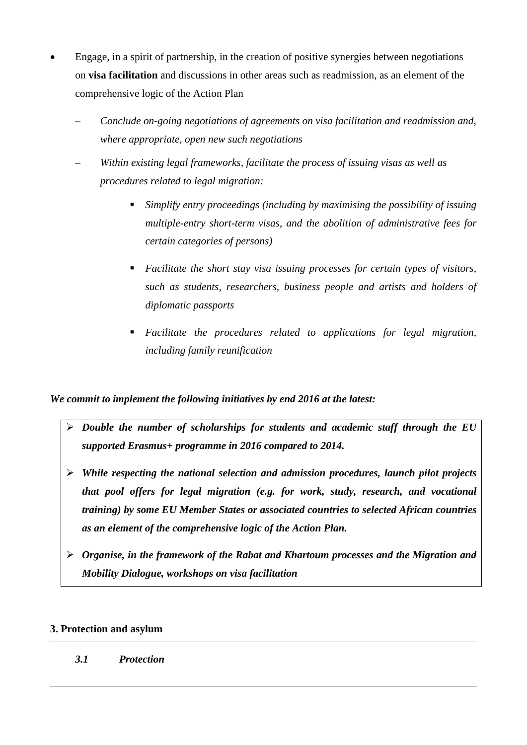- Engage, in a spirit of partnership, in the creation of positive synergies between negotiations on **visa facilitation** and discussions in other areas such as readmission, as an element of the comprehensive logic of the Action Plan
	- *Conclude on-going negotiations of agreements on visa facilitation and readmission and, where appropriate, open new such negotiations*
	- *Within existing legal frameworks, facilitate the process of issuing visas as well as procedures related to legal migration:*
		- *Simplify entry proceedings (including by maximising the possibility of issuing multiple-entry short-term visas, and the abolition of administrative fees for certain categories of persons)*
		- *Facilitate the short stay visa issuing processes for certain types of visitors, such as students, researchers, business people and artists and holders of diplomatic passports*
		- *Facilitate the procedures related to applications for legal migration, including family reunification*

- *Double the number of scholarships for students and academic staff through the EU supported Erasmus+ programme in 2016 compared to 2014.*
- *While respecting the national selection and admission procedures, launch pilot projects that pool offers for legal migration (e.g. for work, study, research, and vocational training) by some EU Member States or associated countries to selected African countries as an element of the comprehensive logic of the Action Plan.*
- *Organise, in the framework of the Rabat and Khartoum processes and the Migration and Mobility Dialogue, workshops on visa facilitation*

## **3. Protection and asylum**

*3.1 Protection*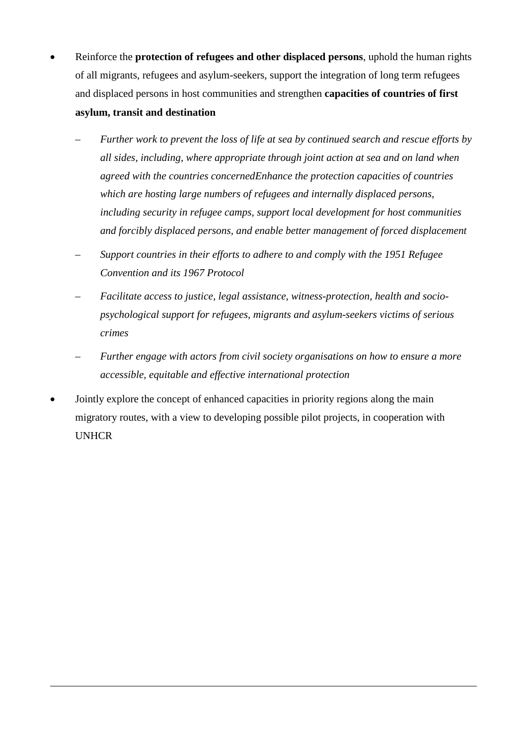- Reinforce the **protection of refugees and other displaced persons**, uphold the human rights of all migrants, refugees and asylum-seekers, support the integration of long term refugees and displaced persons in host communities and strengthen **capacities of countries of first asylum, transit and destination**
	- *Further work to prevent the loss of life at sea by continued search and rescue efforts by all sides, including, where appropriate through joint action at sea and on land when agreed with the countries concernedEnhance the protection capacities of countries which are hosting large numbers of refugees and internally displaced persons, including security in refugee camps, support local development for host communities and forcibly displaced persons, and enable better management of forced displacement*
	- *Support countries in their efforts to adhere to and comply with the 1951 Refugee Convention and its 1967 Protocol*
	- *Facilitate access to justice, legal assistance, witness-protection, health and sociopsychological support for refugees, migrants and asylum-seekers victims of serious crimes*
	- *Further engage with actors from civil society organisations on how to ensure a more accessible, equitable and effective international protection*
- Jointly explore the concept of enhanced capacities in priority regions along the main migratory routes, with a view to developing possible pilot projects, in cooperation with UNHCR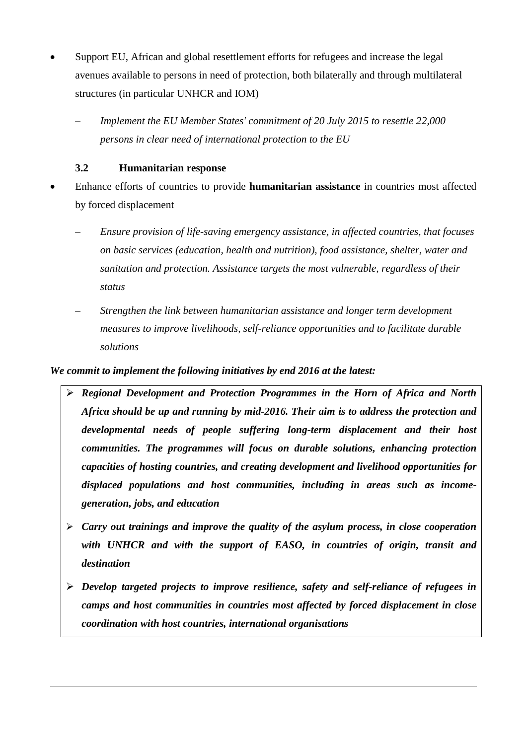- Support EU, African and global resettlement efforts for refugees and increase the legal avenues available to persons in need of protection, both bilaterally and through multilateral structures (in particular UNHCR and IOM)
	- *Implement the EU Member States' commitment of 20 July 2015 to resettle 22,000 persons in clear need of international protection to the EU*

## **3.2 Humanitarian response**

- Enhance efforts of countries to provide **humanitarian assistance** in countries most affected by forced displacement
	- *Ensure provision of life-saving emergency assistance, in affected countries, that focuses on basic services (education, health and nutrition), food assistance, shelter, water and sanitation and protection. Assistance targets the most vulnerable, regardless of their status*
	- *Strengthen the link between humanitarian assistance and longer term development measures to improve livelihoods, self-reliance opportunities and to facilitate durable solutions*

- *Regional Development and Protection Programmes in the Horn of Africa and North Africa should be up and running by mid-2016. Their aim is to address the protection and developmental needs of people suffering long-term displacement and their host communities. The programmes will focus on durable solutions, enhancing protection capacities of hosting countries, and creating development and livelihood opportunities for displaced populations and host communities, including in areas such as incomegeneration, jobs, and education*
- *Carry out trainings and improve the quality of the asylum process, in close cooperation with UNHCR and with the support of EASO, in countries of origin, transit and destination*
- *Develop targeted projects to improve resilience, safety and self-reliance of refugees in camps and host communities in countries most affected by forced displacement in close coordination with host countries, international organisations*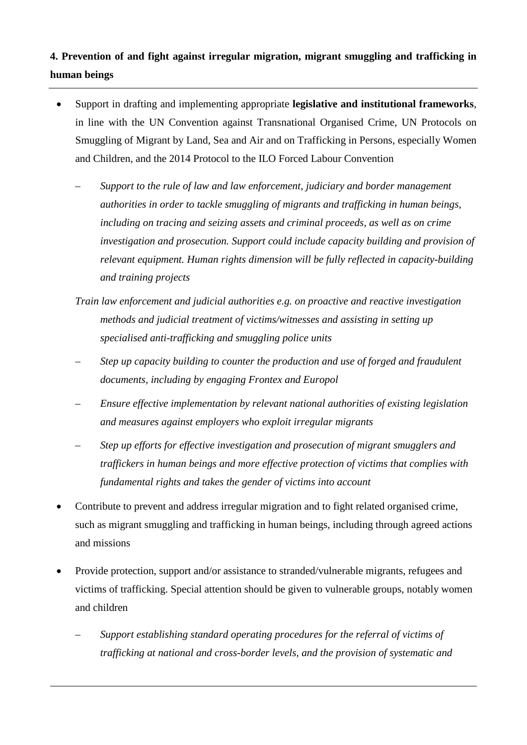# **4. Prevention of and fight against irregular migration, migrant smuggling and trafficking in human beings**

- Support in drafting and implementing appropriate **legislative and institutional frameworks**, in line with the UN Convention against Transnational Organised Crime, UN Protocols on Smuggling of Migrant by Land, Sea and Air and on Trafficking in Persons, especially Women and Children, and the 2014 Protocol to the ILO Forced Labour Convention
	- *Support to the rule of law and law enforcement, judiciary and border management authorities in order to tackle smuggling of migrants and trafficking in human beings, including on tracing and seizing assets and criminal proceeds, as well as on crime investigation and prosecution. Support could include capacity building and provision of relevant equipment. Human rights dimension will be fully reflected in capacity-building and training projects*
	- *Train law enforcement and judicial authorities e.g. on proactive and reactive investigation methods and judicial treatment of victims/witnesses and assisting in setting up specialised anti-trafficking and smuggling police units*
	- *Step up capacity building to counter the production and use of forged and fraudulent documents, including by engaging Frontex and Europol*
	- *Ensure effective implementation by relevant national authorities of existing legislation and measures against employers who exploit irregular migrants*
	- *Step up efforts for effective investigation and prosecution of migrant smugglers and traffickers in human beings and more effective protection of victims that complies with fundamental rights and takes the gender of victims into account*
- Contribute to prevent and address irregular migration and to fight related organised crime, such as migrant smuggling and trafficking in human beings, including through agreed actions and missions
- Provide protection, support and/or assistance to stranded/vulnerable migrants, refugees and victims of trafficking. Special attention should be given to vulnerable groups, notably women and children
	- *Support establishing standard operating procedures for the referral of victims of trafficking at national and cross-border levels, and the provision of systematic and*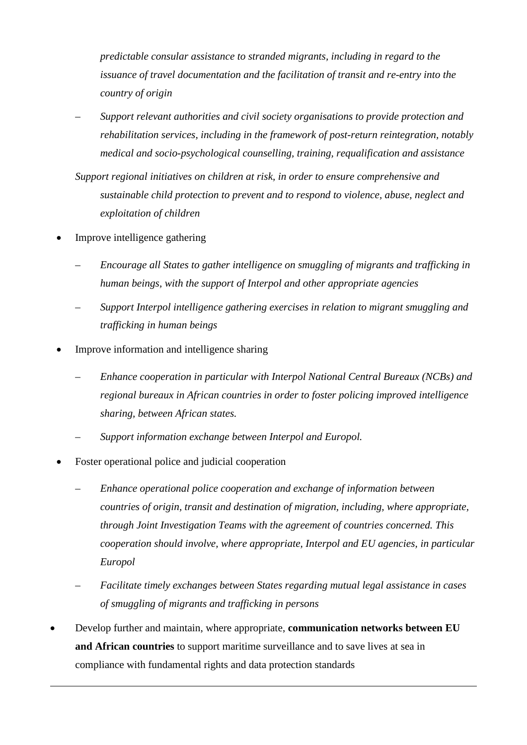*predictable consular assistance to stranded migrants, including in regard to the issuance of travel documentation and the facilitation of transit and re-entry into the country of origin*

- *Support relevant authorities and civil society organisations to provide protection and rehabilitation services, including in the framework of post-return reintegration, notably medical and socio-psychological counselling, training, requalification and assistance*
- *Support regional initiatives on children at risk, in order to ensure comprehensive and sustainable child protection to prevent and to respond to violence, abuse, neglect and exploitation of children*
- Improve intelligence gathering
	- *Encourage all States to gather intelligence on smuggling of migrants and trafficking in human beings, with the support of Interpol and other appropriate agencies*
	- *Support Interpol intelligence gathering exercises in relation to migrant smuggling and trafficking in human beings*
- Improve information and intelligence sharing
	- *Enhance cooperation in particular with Interpol National Central Bureaux (NCBs) and regional bureaux in African countries in order to foster policing improved intelligence sharing, between African states.*
	- *Support information exchange between Interpol and Europol.*
- Foster operational police and judicial cooperation
	- *Enhance operational police cooperation and exchange of information between countries of origin, transit and destination of migration, including, where appropriate, through Joint Investigation Teams with the agreement of countries concerned. This cooperation should involve, where appropriate, Interpol and EU agencies, in particular Europol*
	- *Facilitate timely exchanges between States regarding mutual legal assistance in cases of smuggling of migrants and trafficking in persons*
- Develop further and maintain, where appropriate, **communication networks between EU and African countries** to support maritime surveillance and to save lives at sea in compliance with fundamental rights and data protection standards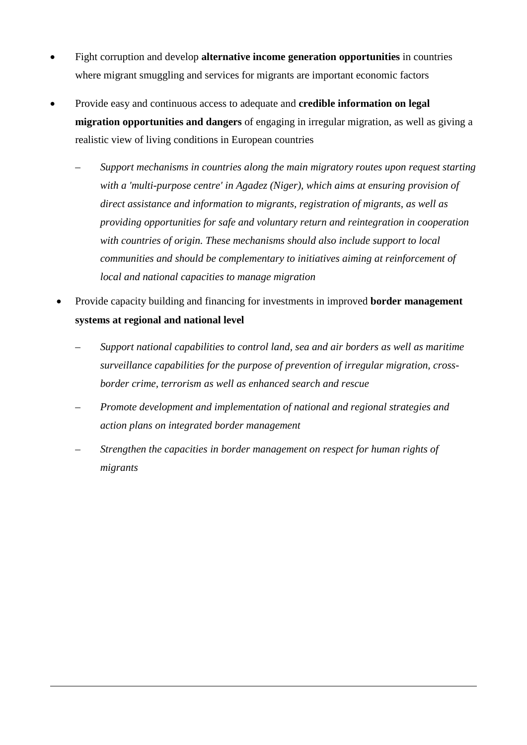- Fight corruption and develop **alternative income generation opportunities** in countries where migrant smuggling and services for migrants are important economic factors
- Provide easy and continuous access to adequate and **credible information on legal migration opportunities and dangers** of engaging in irregular migration, as well as giving a realistic view of living conditions in European countries
	- *Support mechanisms in countries along the main migratory routes upon request starting with a 'multi-purpose centre' in Agadez (Niger), which aims at ensuring provision of direct assistance and information to migrants, registration of migrants, as well as providing opportunities for safe and voluntary return and reintegration in cooperation with countries of origin. These mechanisms should also include support to local communities and should be complementary to initiatives aiming at reinforcement of local and national capacities to manage migration*
	- Provide capacity building and financing for investments in improved **border management systems at regional and national level**
		- *Support national capabilities to control land, sea and air borders as well as maritime surveillance capabilities for the purpose of prevention of irregular migration, crossborder crime, terrorism as well as enhanced search and rescue*
		- *Promote development and implementation of national and regional strategies and action plans on integrated border management*
		- *Strengthen the capacities in border management on respect for human rights of migrants*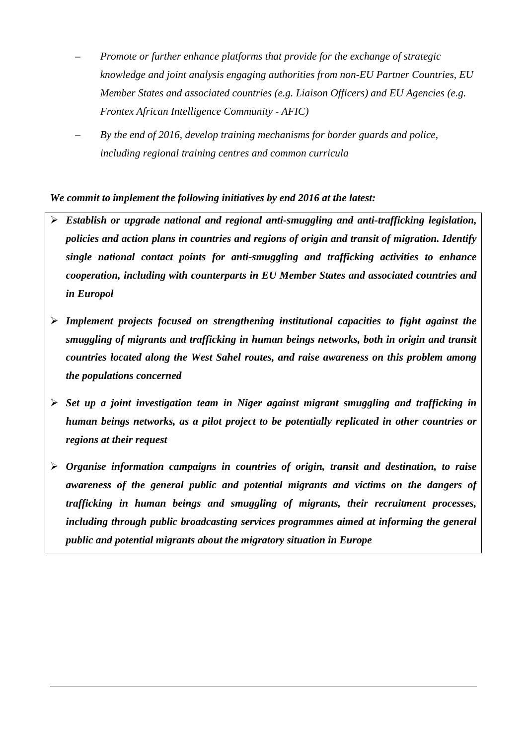- *Promote or further enhance platforms that provide for the exchange of strategic knowledge and joint analysis engaging authorities from non-EU Partner Countries, EU Member States and associated countries (e.g. Liaison Officers) and EU Agencies (e.g. Frontex African Intelligence Community - AFIC)*
- *By the end of 2016, develop training mechanisms for border guards and police, including regional training centres and common curricula*

- *Establish or upgrade national and regional anti-smuggling and anti-trafficking legislation, policies and action plans in countries and regions of origin and transit of migration. Identify single national contact points for anti-smuggling and trafficking activities to enhance cooperation, including with counterparts in EU Member States and associated countries and in Europol*
- *Implement projects focused on strengthening institutional capacities to fight against the smuggling of migrants and trafficking in human beings networks, both in origin and transit countries located along the West Sahel routes, and raise awareness on this problem among the populations concerned*
- *Set up a joint investigation team in Niger against migrant smuggling and trafficking in human beings networks, as a pilot project to be potentially replicated in other countries or regions at their request*
- *Organise information campaigns in countries of origin, transit and destination, to raise awareness of the general public and potential migrants and victims on the dangers of trafficking in human beings and smuggling of migrants, their recruitment processes, including through public broadcasting services programmes aimed at informing the general public and potential migrants about the migratory situation in Europe*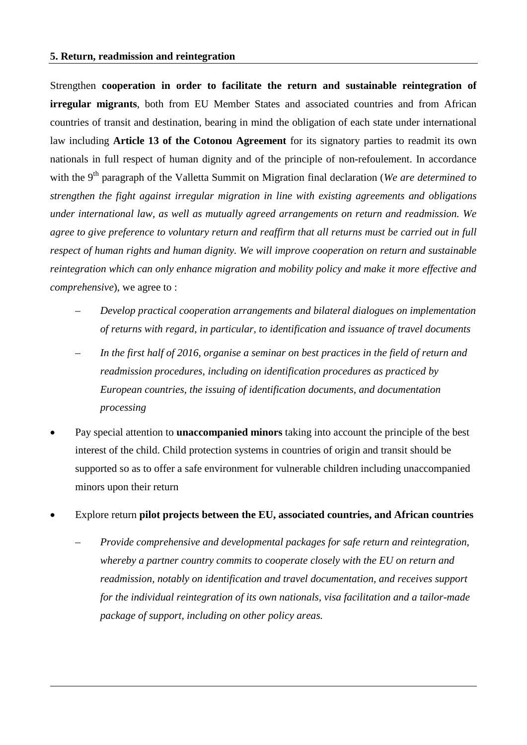Strengthen **cooperation in order to facilitate the return and sustainable reintegration of irregular migrants**, both from EU Member States and associated countries and from African countries of transit and destination, bearing in mind the obligation of each state under international law including **Article 13 of the Cotonou Agreement** for its signatory parties to readmit its own nationals in full respect of human dignity and of the principle of non-refoulement. In accordance with the 9<sup>th</sup> paragraph of the Valletta Summit on Migration final declaration (*We are determined to strengthen the fight against irregular migration in line with existing agreements and obligations under international law, as well as mutually agreed arrangements on return and readmission. We agree to give preference to voluntary return and reaffirm that all returns must be carried out in full respect of human rights and human dignity. We will improve cooperation on return and sustainable reintegration which can only enhance migration and mobility policy and make it more effective and comprehensive*), we agree to :

- *Develop practical cooperation arrangements and bilateral dialogues on implementation of returns with regard, in particular, to identification and issuance of travel documents*
- *In the first half of 2016, organise a seminar on best practices in the field of return and readmission procedures, including on identification procedures as practiced by European countries, the issuing of identification documents, and documentation processing*
- Pay special attention to **unaccompanied minors** taking into account the principle of the best interest of the child. Child protection systems in countries of origin and transit should be supported so as to offer a safe environment for vulnerable children including unaccompanied minors upon their return
- Explore return **pilot projects between the EU, associated countries, and African countries**
	- *Provide comprehensive and developmental packages for safe return and reintegration, whereby a partner country commits to cooperate closely with the EU on return and readmission, notably on identification and travel documentation, and receives support for the individual reintegration of its own nationals, visa facilitation and a tailor-made package of support, including on other policy areas.*